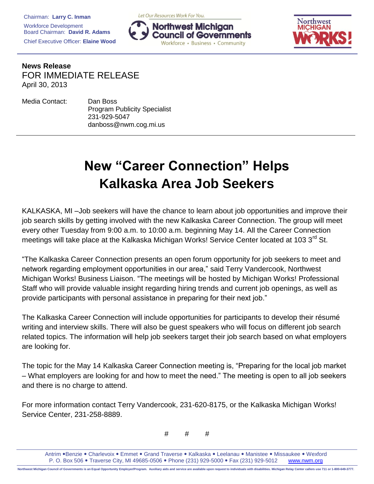Chairman: **Larry C. Inman** Workforce Development Board Chairman: **David R. Adams** Chief Executive Officer: **Elaine Wood** Let Our Resources Work For You.





**News Release** FOR IMMEDIATE RELEASE April 30, 2013

| Media Contact: | Dan Boss                            |
|----------------|-------------------------------------|
|                | <b>Program Publicity Specialist</b> |
|                | 231-929-5047                        |
|                | danboss@nwm.cog.mi.us               |

## **New "Career Connection" Helps Kalkaska Area Job Seekers**

KALKASKA, MI –Job seekers will have the chance to learn about job opportunities and improve their job search skills by getting involved with the new Kalkaska Career Connection. The group will meet every other Tuesday from 9:00 a.m. to 10:00 a.m. beginning May 14. All the Career Connection meetings will take place at the Kalkaska Michigan Works! Service Center located at 103 3<sup>rd</sup> St.

"The Kalkaska Career Connection presents an open forum opportunity for job seekers to meet and network regarding employment opportunities in our area," said Terry Vandercook, Northwest Michigan Works! Business Liaison. "The meetings will be hosted by Michigan Works! Professional Staff who will provide valuable insight regarding hiring trends and current job openings, as well as provide participants with personal assistance in preparing for their next job."

The Kalkaska Career Connection will include opportunities for participants to develop their résumé writing and interview skills. There will also be guest speakers who will focus on different job search related topics. The information will help job seekers target their job search based on what employers are looking for.

The topic for the May 14 Kalkaska Career Connection meeting is, "Preparing for the local job market – What employers are looking for and how to meet the need." The meeting is open to all job seekers and there is no charge to attend.

For more information contact Terry Vandercook, 231-620-8175, or the Kalkaska Michigan Works! Service Center, 231-258-8889.

# # #

Antrim • Benzie • Charlevoix • Emmet • Grand Traverse • Kalkaska • Leelanau • Manistee • Missaukee • Wexford P. O. Box 506 . Traverse City, MI 49685-0506 . Phone (231) 929-5000 . Fax (231) 929-5012 www.nwm.org

Northwest Michigan Council of Governments is an Equal Opportunity Employer/Program. Auxiliary aids and service are available upon request to individuals with disabilities. Michigan Relay Center callers use 711 or 1-800-649